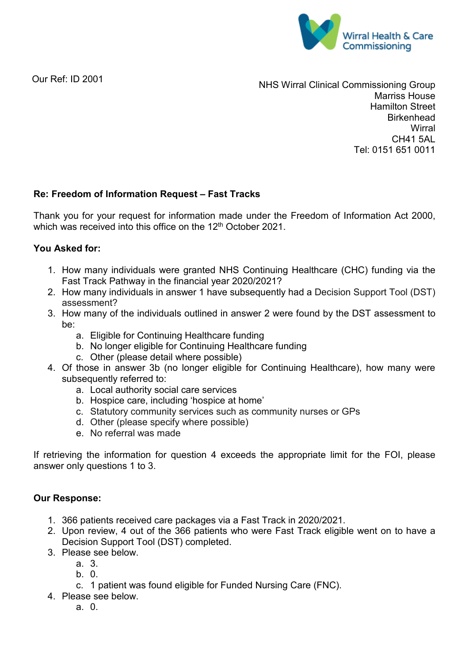

Our Ref: ID 2001

NHS Wirral Clinical Commissioning Group Marriss House Hamilton Street **Birkenhead Wirral** CH41 5AL Tel: 0151 651 0011

## **Re: Freedom of Information Request – Fast Tracks**

Thank you for your request for information made under the Freedom of Information Act 2000, which was received into this office on the 12<sup>th</sup> October 2021.

## **You Asked for:**

- 1. How many individuals were granted NHS Continuing Healthcare (CHC) funding via the Fast Track Pathway in the financial year 2020/2021?
- 2. How many individuals in answer 1 have subsequently had a Decision Support Tool (DST) assessment?
- 3. How many of the individuals outlined in answer 2 were found by the DST assessment to be:
	- a. Eligible for Continuing Healthcare funding
	- b. No longer eligible for Continuing Healthcare funding
	- c. Other (please detail where possible)
- 4. Of those in answer 3b (no longer eligible for Continuing Healthcare), how many were subsequently referred to:
	- a. Local authority social care services
	- b. Hospice care, including 'hospice at home'
	- c. Statutory community services such as community nurses or GPs
	- d. Other (please specify where possible)
	- e. No referral was made

If retrieving the information for question 4 exceeds the appropriate limit for the FOI, please answer only questions 1 to 3.

## **Our Response:**

- 1. 366 patients received care packages via a Fast Track in 2020/2021.
- 2. Upon review, 4 out of the 366 patients who were Fast Track eligible went on to have a Decision Support Tool (DST) completed.
- 3. Please see below.
	- a. 3.
	- b. 0.
	- c. 1 patient was found eligible for Funded Nursing Care (FNC).
- 4. Please see below.
	- a. 0.